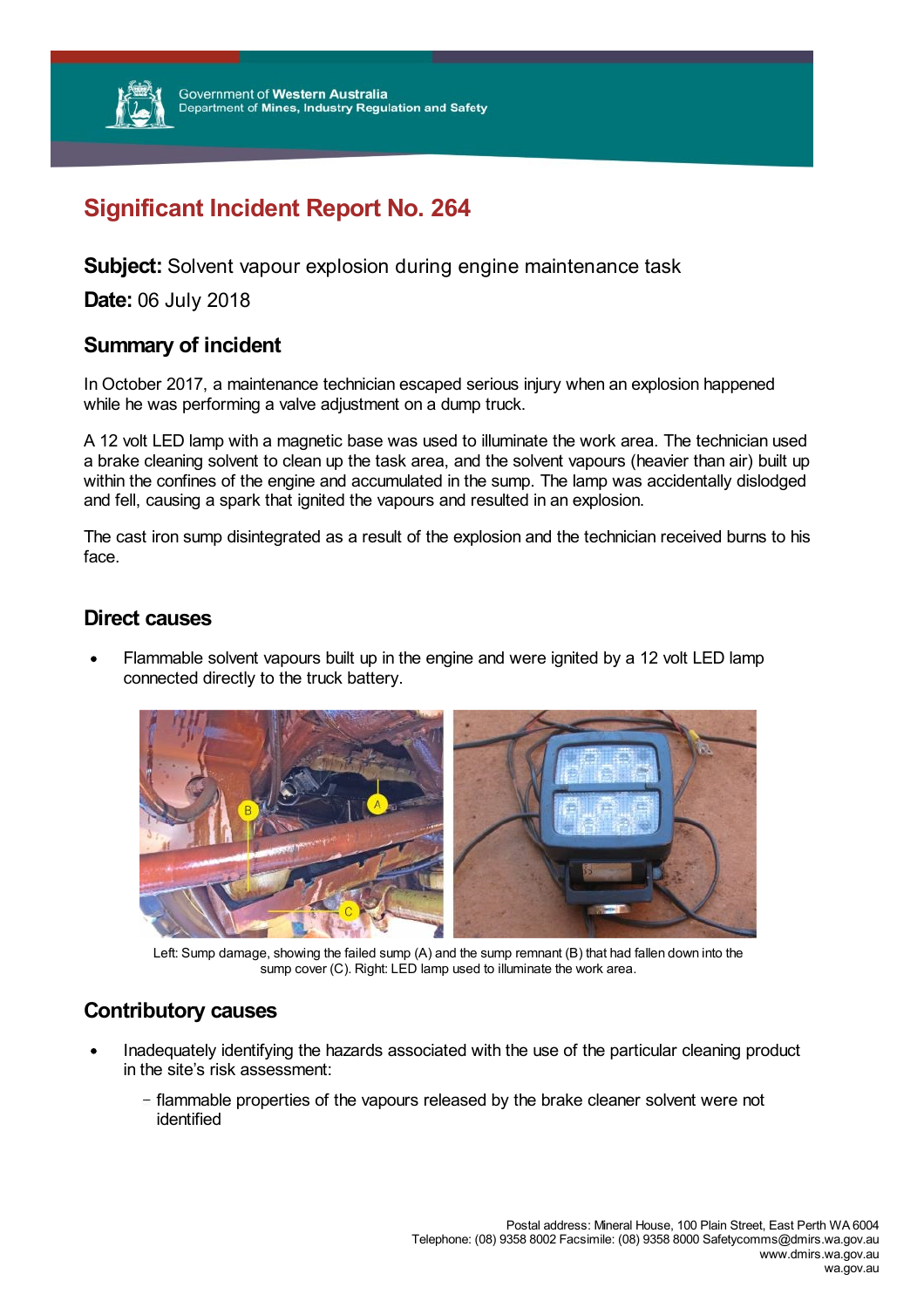

# **Significant Incident Report No. 264**

**Subject:** Solvent vapour explosion during engine maintenance task

**Date:** 06 July 2018

## **Summary of incident**

In October 2017, a maintenance technician escaped serious injury when an explosion happened while he was performing a valve adjustment on a dump truck.

A 12 volt LED lamp with a magnetic base was used to illuminate the work area. The technician used a brake cleaning solvent to clean up the task area, and the solvent vapours (heavier than air) built up within the confines of the engine and accumulated in the sump. The lamp was accidentally dislodged and fell, causing a spark that ignited the vapours and resulted in an explosion.

The cast iron sump disintegrated as a result of the explosion and the technician received burns to his face.

## **Direct causes**

Flammable solvent vapours built up in the engine and were ignited by a 12 volt LED lamp connected directly to the truck battery.



Left: Sump damage, showing the failed sump (A) and the sump remnant (B) that had fallen down into the sump cover (C). Right: LED lamp used to illuminate the work area.

# **Contributory causes**

- Inadequately identifying the hazards associated with the use of the particular cleaning product in the site's risk assessment:
	- flammable properties of the vapours released by the brake cleaner solvent were not identified